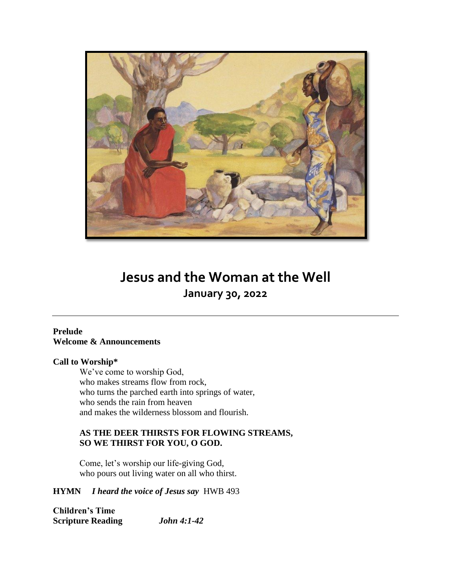

## **Jesus and the Woman at the Well January 30, 2022**

### **Prelude Welcome & Announcements**

### **Call to Worship\***

We've come to worship God, who makes streams flow from rock, who turns the parched earth into springs of water, who sends the rain from heaven and makes the wilderness blossom and flourish.

## **AS THE DEER THIRSTS FOR FLOWING STREAMS, SO WE THIRST FOR YOU, O GOD.**

Come, let's worship our life-giving God, who pours out living water on all who thirst.

## **HYMN** *I heard the voice of Jesus say*HWB 493

**Children's Time Scripture Reading** *John 4:1-42*